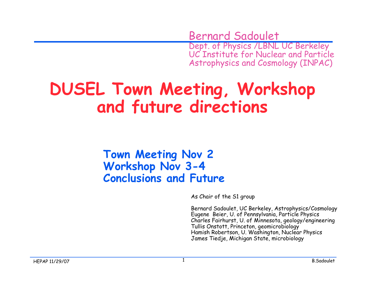Bernard Sadoulet Dept. of Physics /LBNL UC Berkeley UC Institute for Nuclear and Particle Astrophysics and Cosmology (INPAC)

### **DUSEL Town Meeting, Workshop and future directions**

#### **Town Meeting Nov 2 Workshop Nov 3-4 Conclusions and Future**

As Chair of the S1 group

Bernard Sadoulet, UC Berkeley, Astrophysics/Cosmology Eugene Beier, U. of Pennsylvania, Particle Physics Charles Fairhurst, U. of Minnesota, geology/engineering Tullis Onstott, Princeton, geomicrobiology Hamish Robertson, U. Washington, Nuclear Physics James Tiedje, Michigan State, microbiology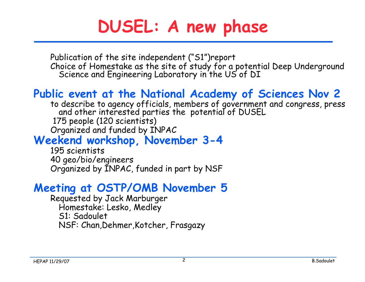## **DUSEL: A new phase**

Publication of the site independent ("S1")report Choice of Homestake as the site of study for a potential Deep Underground Science and Engineering Laboratory in the US of DI

### **Public event at the National Academy of Sciences Nov 2**

to describe to agency officials, members of government and congress, press and other interested parties the potential of DUSEL 175 people (120 scientists) Organized and funded by INPAC

#### **Weekend workshop, November 3-4**

195 scientists 40 geo/bio/engineers Organized by INPAC, funded in part by NSF

#### **Meeting at OSTP/OMB November 5**

Requested by Jack Marburger Homestake: Lesko, Medley S1: Sadoulet NSF: Chan,Dehmer,Kotcher, Frasgazy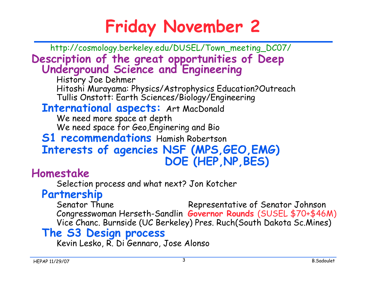## **Friday November 2**

**Description of the great opportunities of Deep Underground Science and Engineering** http://cosmology.berkeley.edu/DUSEL/Town\_meeting\_DC07/

History Joe Dehmer Hitoshi Murayama: Physics/Astrophysics Education?Outreach Tullis Onstott: Earth Sciences/Biology/Engineering

#### **International aspects:** Art MacDonald

We need more space at depth We need space for Geo,Enginering and Bio

#### **S1 recommendations** Hamish Robertson **Interests of agencies NSF (MPS,GEO,EMG) DOE (HEP,NP,BES)**

#### **Homestake**

Selection process and what next? Jon Kotcher

#### **Partnership**

Senator Thune Representative of Senator Johnson Congresswoman Herseth-Sandlin **Governor Rounds** (SUSEL \$70+\$46M) Vice Chanc. Burnside (UC Berkeley) Pres. Ruch(South Dakota Sc.Mines)

#### **The S3 Design process**

Kevin Lesko, R. Di Gennaro, Jose Alonso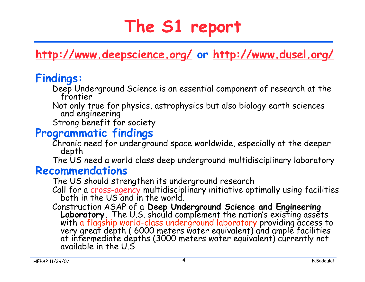## **The S1 report**

**http://www.deepscience.org/ or http://www.dusel.org/**

#### **Findings:**

- Deep Underground Science is an essential component of research at the frontier
- Not only true for physics, astrophysics but also biology earth sciences and engineering
- Strong benefit for society

#### **Programmatic findings**

Chronic need for underground space worldwide, especially at the deeper depth

The US need a world class deep underground multidisciplinary laboratory

#### **Recommendations**

The US should strengthen its underground research

Call for a cross-agency multidisciplinary initiative optimally using facilities both in the US and in the world.

Construction ASAP of a **Deep Underground Science and Engineering**<br>**Laboratory**. The U.S. should complement the nation's existing assets<br>with a flagship world-class underground laboratory providing access to<br>very great dept at infermediate depths (3000 meters water equivalent) currently not<br>available in the U.S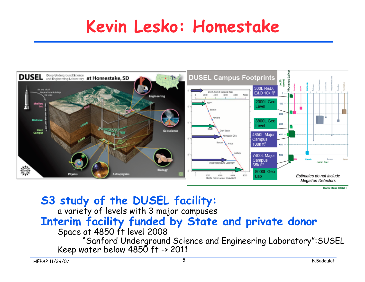### **Kevin Lesko: Homestake**



**S3 study of the DUSEL facility:**

a variety of levels with 3 major campuses

### **Interim facility funded by State and private donor**

#### Space at 4850 ft level 2008

"Sanford Underground Science and Engineering Laboratory":SUSEL Keep water below 4850 ft -> 2011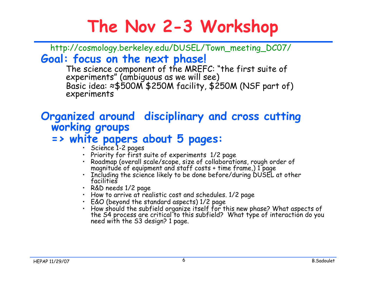## **The Nov 2-3 Workshop**

**Goal: focus on the next phase!** http://cosmology.berkeley.edu/DUSEL/Town\_meeting\_DC07/

The science component of the MREFC: "the first suite of experiments" (ambiguous as we will see) Basic idea: ≈\$500M \$250M facility, \$250M (NSF part of) experiments

# **Organized around disciplinary and cross cutting working groups**

#### **=> white papers about 5 pages:**

- Science 1-2 pages
- Priority for first suite of experiments 1/2 page
- Roadmap (overall scale/scope, size of collaborations, rough order of magnitude of equipment and staff costs + time frame,) 1 page
- Including the science likely to be done before/during DUSEL at other facilities
- R&D needs 1/2 page
- How to arrive at realistic cost and schedules. 1/2 page
- E&O (beyond the standard aspects) 1/2 page
- How should the subfield organize itself for this new phase? What aspects of the S4 process are critical to this subfield? What type of interaction do you need with the S3 design? 1 page.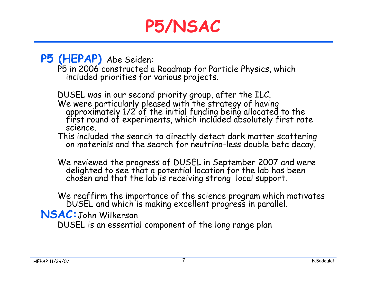### **P5/NSAC**

**P5 (HEPAP)** Abe Seiden:

P5 in 2006 constructed a Roadmap for Particle Physics, which included priorities for various projects.

DUSEL was in our second priority group, after the ILC. We were particularly pleased with the strategy of having approximately 1/2 of the initial funding being allocated to the first round of experiments, which included absolutely first rate science.

This included the search to directly detect dark matter scattering on materials and the search for neutrino-less double beta decay.

We reviewed the progress of DUSEL in September 2007 and were delighted to see that a potential location for the lab has been chosen and that the lab is receiving strong local support.

We reaffirm the importance of the science program which motivates<br>DUSEL and which is making excellent progress in parallel.

**NSAC:**John Wilkerson

DUSEL is an essential component of the long range plan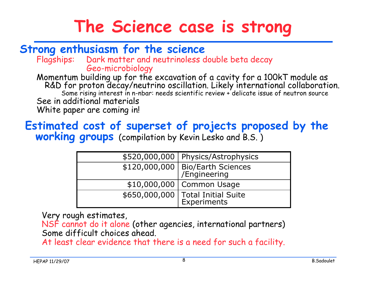### **The Science case is strong**

#### **Strong enthusiasm for the science**

Flagships: Dark matter and neutrinoless double beta decay Geo-microbiology

Momentum building up for the excavation of a cavity for a 100kT module as<br>R&D for proton decay/neutrino oscillation. Likely international collaboration. Some rising interest in n-nbar: needs scientific review + delicate issue of neutron source See in additional materials White paper are coming in!

#### **Estimated cost of superset of projects proposed by the working groups** (compilation by Kevin Lesko and B.S. )

| \$520,000,000   Physics/Astrophysics                      |
|-----------------------------------------------------------|
| $\sqrt{\frac{120,000,000}{\text{F}}}\$ Bio/Earth Sciences |
| \$10,000,000   Common Usage                               |
| $\sqrt{$650,000,000}$ Total Initial Suite<br>Experiments  |

Very rough estimates,

NSF cannot do it alone (other agencies, international partners) Some difficult choices ahead.

At least clear evidence that there is a need for such a facility.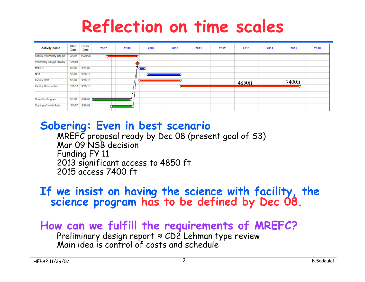### **Reflection on time scales**

| <b>Activity Name</b>               | Start<br>Date | Finish<br>Date  | 2007 | 2008 | 2009 | 2010 | 2011 | 2012 | 2013   | 2014 | 2015   | 2016 |
|------------------------------------|---------------|-----------------|------|------|------|------|------|------|--------|------|--------|------|
| <b>Facility Preliminary Design</b> |               | 9/1/07 11/28/08 | □    |      |      |      |      |      |        |      |        |      |
| Preliminary Design Review          | 12/1/08       |                 |      |      |      |      |      |      |        |      |        |      |
| <b>MREFC</b>                       | 1/1/09        | 3/31/09         |      |      | ∝≂   |      |      |      |        |      |        |      |
| <b>NSB</b>                         | 5/1/09        | 9/30/10         |      |      |      |      |      |      |        |      |        |      |
| <b>Facility FDR</b>                | 1/1/09        | 9/30/10         |      |      |      |      |      |      | 4850ft |      | 7400ft |      |
| <b>Facility Construction</b>       | 10/1/10       | 9/30/15         |      |      |      |      |      |      |        |      |        |      |
|                                    |               |                 |      |      |      |      |      |      |        |      |        |      |
| Scientific Program                 | 1/1/07        | 8/29/08         |      |      |      |      |      |      |        |      |        |      |
| Costing of Initial Suite           | 11/1/07       | 9/30/08         |      |      |      |      |      |      |        |      |        |      |
|                                    |               |                 |      |      |      |      |      |      |        |      |        |      |

#### **Sobering: Even in best scenario**

MREFC proposal ready by Dec 08 (present goal of  $53$ ) Mar 09 NSB decision Funding FY 11 2013 significant access to 4850 ft 2015 access 7400 ft

#### **If we insist on having the science with facility, the science program has to be defined by Dec 08.**

#### **How can we fulfill the requirements of MREFC?**

Preliminary design report  $\approx$  CD2 Lehman type review Main idea is control of costs and schedule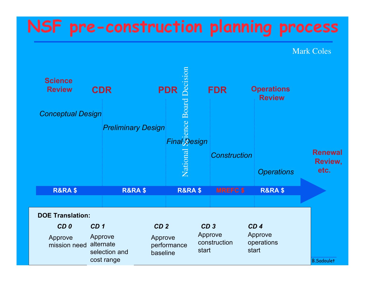### **NSF pre-construction planning process**

Mark Coles

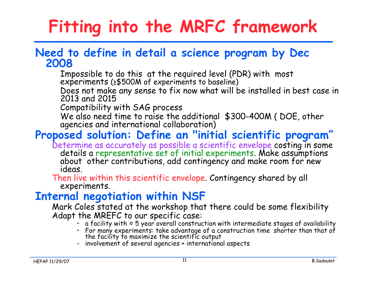# **Fitting into the MRFC framework**

#### **Need to define in detail a science program by Dec 2008**

Impossible to do this at the required level (PDR) with most experiments ( $\geq$ \$500M of experiments to baseline)

Does not make any sense to fix now what will be installed in best case in 2013 and 2015

Compatibility with SAG process

We also need time to raise the additional \$300-400M (DOE, other agencies and international collaboration)

#### **Proposed solution: Define an "initial scientific program"**

Determine as accurately as possible a scientific envelope costing in some details a representative set of initial experiments. Make assumptions about other contributions, add contingency and make room for new ideas.

Then live within this scientific envelope. Contingency shared by all experiments.

#### **Internal negotiation within NSF**

Mark Coles stated at the workshop that there could be some flexibility Adapt the MREFC to our specific case:

- a facility with  $\approx$  5 year overall construction with intermediate stages of availability
- For many experiments: take advantage of a construction time shorter than that of the facility to maximize the scientific output
- involvement of several agencies + international aspects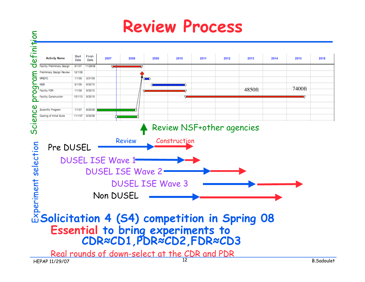### **Review Process**

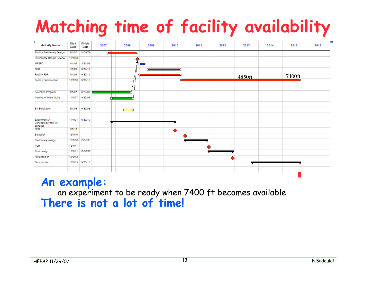# **Matching time of facility availability**

| <b>Activity Name</b>                                  | Start<br>Date | Finish<br>Date   | 2007 | 2008 | 2009 | 2010 | 2011 | 2012 | 2013   | 2014 | 2015   | 2016 |
|-------------------------------------------------------|---------------|------------------|------|------|------|------|------|------|--------|------|--------|------|
| <b>Facility Preliminary Design</b>                    | 9/1/07        | 11/28/08         | v    |      |      |      |      |      |        |      |        |      |
| Preliminary Design Review                             | 12/1/08       |                  |      |      |      |      |      |      |        |      |        |      |
| <b>MREFC</b>                                          | 1/1/09        | 3/31/09          |      |      | ឃ    |      |      |      |        |      |        |      |
| <b>NSB</b>                                            | 5/1/09        | 9/30/10          |      |      |      | ⌒    |      |      |        |      |        |      |
| <b>Facility FDR</b>                                   | 1/1/09        | 9/30/10          |      |      |      |      |      |      |        |      | 7400ft |      |
| <b>Facility Construction</b>                          | 10/1/10       | 9/30/15          |      |      |      | ٣.   |      |      | 4850ft |      |        |      |
| Scientific Program                                    | 1/1/07        | 8/29/08          |      |      |      |      |      |      |        |      |        |      |
| Costing of Initial Suite                              | 11/1/07       | 9/30/08          |      |      |      |      |      |      |        |      |        |      |
| <b>S4 Solicitation</b>                                | 5/1/08        | 9/30/08          |      |      |      |      |      |      |        |      |        |      |
| <b>Experiment A</b><br>Conceptual/Proof of<br>concept | 11/1/07       | 6/30/10          |      |      |      |      |      |      |        |      |        |      |
| CDR                                                   | 7/1/10        |                  |      |      |      | ۰    |      |      |        |      |        |      |
| Selection                                             | 12/1/10       |                  |      |      |      |      |      |      |        |      |        |      |
| Preliminary design                                    |               | 12/1/10 10/31/11 |      |      |      |      |      |      |        |      |        |      |
| PDR                                                   | 12/1/11       |                  |      |      |      |      |      |      |        |      |        |      |
| Final design                                          |               | 12/1/11 11/30/12 |      |      |      |      |      |      |        |      |        |      |
| FDR/decison                                           | 12/3/12       |                  |      |      |      |      |      |      |        |      |        |      |
| Construction                                          | 10/1/13       | 9/30/15          |      |      |      |      |      |      |        |      |        |      |
|                                                       |               |                  |      |      |      |      |      |      |        |      |        |      |

#### **An example:** an experiment to be ready when 7400 ft becomes available **There is not a lot of time!**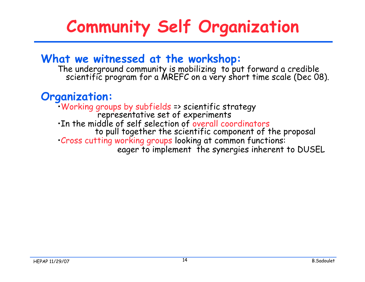# **Community Self Organization**

#### **What we witnessed at the workshop:**

The underground community is mobilizing to put forward a credible<br>scientific program for a MREFC on a very short time scale (Dec 08).

#### **Organization:**

•Working groups by subfields => scientific strategy<br>representative set of experiments<br>•In the middle of self selection of overall coordinators to pull together the scientific component of the proposal •Cross cutting working groups looking at common functions: eager to implement the synergies inherent to DUSEL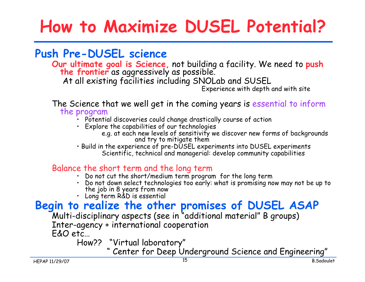## **How to Maximize DUSEL Potential?**

#### **Push Pre-DUSEL science**

**Our ultimate goal is Science,** not building a facility. We need to **push the frontier** as aggressively as possible.

At all existing facilities including SNOLab and SUSEL

Experience with depth and with site

The Science that we well get in the coming years is essential to inform the program

- Potential discoveries could change drastically course of action
- Explore the capabilities of our technologies
	- e.g. at each new levels of sensitivity we discover new forms of backgrounds and try to mitigate them
- Build in the experience of pre-DUSEL experiments into DUSEL experiments Scientific, technical and managerial: develop community capabilities

#### Balance the short term and the long term

- Do not cut the short/medium term program for the long term
- Do not down select technologies too early: what is promising now may not be up to the job in 8 years from now
- Long term R&D is essential

### **Begin to realize the other promises of DUSEL ASAP**

Multi-disciplinary aspects (see in " additional material" B groups) Inter-agency + international cooperation

E&O etc…

How?? "Virtual laboratory"

" Center for Deep Underground Science and Engineering"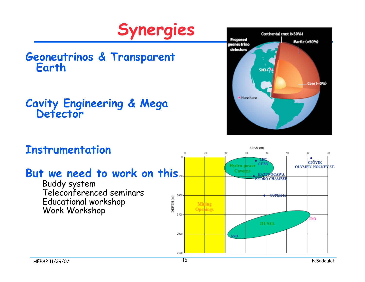

# **Geoneutrinos & Transparent Earth**

#### **Cavity Engineering & Mega Detector**



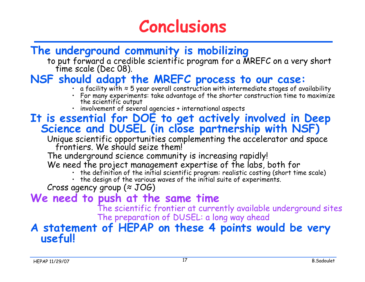### **Conclusions**

#### **The underground community is mobilizing**

to put forward a credible scientific program for a MREFC on a very short<br>time scale (Dec 08).

#### **NSF should adapt the MREFC process to our case:**

- a facility with ≈ 5 year overall construction with intermediate stages of availability
- For many experiments: take advantage of the shorter construction time to maximize the scientific output
- involvement of several agencies + international aspects

#### **It is essential for DOE to get actively involved in Deep Science and DUSEL (in close partnership with NSF)**

Unique scientific opportunities complementing the accelerator and space<br>frontiers. We should seize them!

The underground science community is increasing rapidly!

We need the project management expertise of the labs, both for

- the definition of the initial scientific program: realistic costing (short time scale)
- the design of the various waves of the initial suite of experiments.

Cross agency group (≈ JOG)

**We need to push at the same time**

The scientific frontier at currently available underground sites The preparation of DUSEL: a long way ahead

#### **A statement of HEPAP on these 4 points would be very useful!**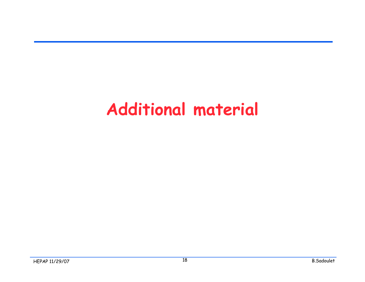### **Additional material**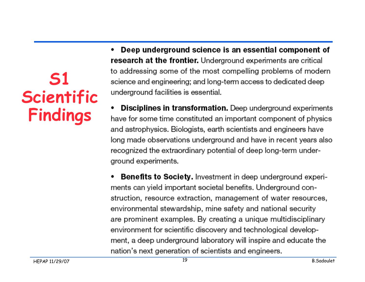**S1 Scientific Findings**

Deep underground science is an essential component of research at the frontier. Underground experiments are critical to addressing some of the most compelling problems of modern science and engineering; and long-term access to dedicated deep underground facilities is essential.

**Disciplines in transformation.** Deep underground experiments have for some time constituted an important component of physics and astrophysics. Biologists, earth scientists and engineers have long made observations underground and have in recent years also recognized the extraordinary potential of deep long-term underground experiments.

**Benefits to Society.** Investment in deep underground experiments can yield important societal benefits. Underground construction, resource extraction, management of water resources, environmental stewardship, mine safety and national security are prominent examples. By creating a unique multidisciplinary environment for scientific discovery and technological development, a deep underground laboratory will inspire and educate the nation's next generation of scientists and engineers.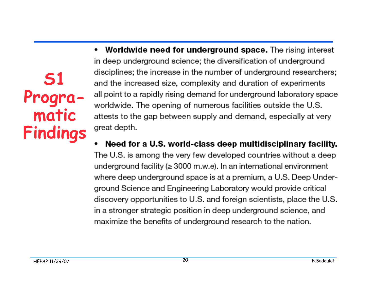**S1 Programatic Findings**

- Worldwide need for underground space. The rising interest ٠ in deep underground science: the diversification of underground disciplines; the increase in the number of underground researchers; and the increased size, complexity and duration of experiments all point to a rapidly rising demand for underground laboratory space worldwide. The opening of numerous facilities outside the U.S. attests to the gap between supply and demand, especially at very great depth.
- Need for a U.S. world-class deep multidisciplinary facility. The U.S. is among the very few developed countries without a deep underground facility ( $\geq 3000$  m.w.e). In an international environment where deep underground space is at a premium, a U.S. Deep Underground Science and Engineering Laboratory would provide critical discovery opportunities to U.S. and foreign scientists, place the U.S. in a stronger strategic position in deep underground science, and maximize the benefits of underground research to the nation.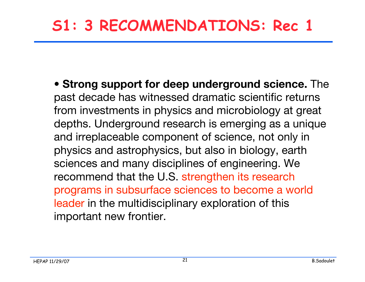### **S1: 3 RECOMMENDATIONS: Rec 1**

**• Strong support for deep underground science.** The past decade has witnessed dramatic scientific returns from investments in physics and microbiology at great depths. Underground research is emerging as a unique and irreplaceable component of science, not only in physics and astrophysics, but also in biology, earth sciences and many disciplines of engineering. We recommend that the U.S. strengthen its research programs in subsurface sciences to become a world leader in the multidisciplinary exploration of this important new frontier.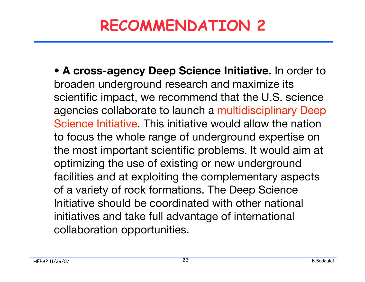### **RECOMMENDATION 2**

**• A cross-agency Deep Science Initiative.** In order to broaden underground research and maximize its scientific impact, we recommend that the U.S. science agencies collaborate to launch a multidisciplinary Deep Science Initiative. This initiative would allow the nation to focus the whole range of underground expertise on the most important scientific problems. It would aim at optimizing the use of existing or new underground facilities and at exploiting the complementary aspects of a variety of rock formations. The Deep Science Initiative should be coordinated with other national initiatives and take full advantage of international collaboration opportunities.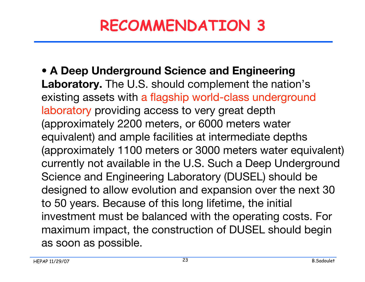### **RECOMMENDATION 3**

**• A Deep Underground Science and Engineering Laboratory.** The U.S. should complement the nation's existing assets with a flagship world-class underground laboratory providing access to very great depth (approximately 2200 meters, or 6000 meters water equivalent) and ample facilities at intermediate depths (approximately 1100 meters or 3000 meters water equivalent) currently not available in the U.S. Such a Deep Underground Science and Engineering Laboratory (DUSEL) should be designed to allow evolution and expansion over the next 30 to 50 years. Because of this long lifetime, the initial investment must be balanced with the operating costs. For maximum impact, the construction of DUSEL should begin as soon as possible.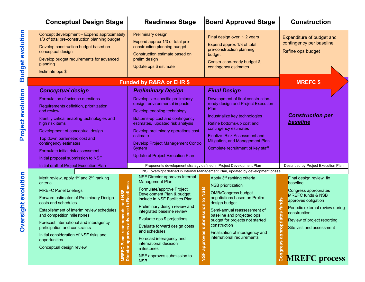| <b>Conceptual Design Stage</b>                                                                                                                                                                                                                                                                                                                                                                                                                                                                           | <b>Readiness Stage</b>                                                                                                                                                                                                                                                                                                                                                                                                                                                                                                     | <b>Board Approved Stage</b>                                                                                                                                                                                                                                                                                                                                                                                            | <b>Construction</b>                                                                                                                                                                                                                                                                                  |  |  |
|----------------------------------------------------------------------------------------------------------------------------------------------------------------------------------------------------------------------------------------------------------------------------------------------------------------------------------------------------------------------------------------------------------------------------------------------------------------------------------------------------------|----------------------------------------------------------------------------------------------------------------------------------------------------------------------------------------------------------------------------------------------------------------------------------------------------------------------------------------------------------------------------------------------------------------------------------------------------------------------------------------------------------------------------|------------------------------------------------------------------------------------------------------------------------------------------------------------------------------------------------------------------------------------------------------------------------------------------------------------------------------------------------------------------------------------------------------------------------|------------------------------------------------------------------------------------------------------------------------------------------------------------------------------------------------------------------------------------------------------------------------------------------------------|--|--|
| Concept development - Expend approximately<br>1/3 of total pre-construction planning budget<br>Develop construction budget based on<br>conceptual design<br>Develop budget requirements for advanced<br>planning<br>Estimate ops \$                                                                                                                                                                                                                                                                      | Preliminary design<br>Expend approx 1/3 of total pre-<br>construction planning budget<br>Construction estimate based on<br>prelim design<br>Update ops \$ estimate                                                                                                                                                                                                                                                                                                                                                         | Final design over $\sim$ 2 years<br>Expend approx 1/3 of total<br>pre-construction planning<br>budget<br>Construction-ready budget &<br>contingency estimates                                                                                                                                                                                                                                                          | Expenditure of budget and<br>contingency per baseline<br>Refine ops budget                                                                                                                                                                                                                           |  |  |
|                                                                                                                                                                                                                                                                                                                                                                                                                                                                                                          | <b>Funded by R&amp;RA or EHR \$</b>                                                                                                                                                                                                                                                                                                                                                                                                                                                                                        |                                                                                                                                                                                                                                                                                                                                                                                                                        | <b>MREFC \$</b>                                                                                                                                                                                                                                                                                      |  |  |
| <b>Conceptual design</b><br>Formulation of science questions<br>Requirements definition, prioritization,<br>and review<br>Identify critical enabling technologies and<br>high risk items<br>Development of conceptual design<br>Top down parametric cost and<br>contingency estimates<br>Formulate initial risk assessment<br>Initial proposal submission to NSF                                                                                                                                         | <b>Preliminary Design</b><br>Develop site-specific preliminary<br>design, environmental impacts<br>Develop enabling technology<br>Bottoms-up cost and contingency<br>estimates, updated risk analysis<br>Develop preliminary operations cost<br>estimate<br><b>Develop Project Management Control</b><br>System<br><b>Update of Project Execution Plan</b>                                                                                                                                                                 | <b>Final Design</b><br>Development of final construction-<br>ready design and Project Execution<br>Plan<br>Industrialize key technologies<br>Refine bottoms-up cost and<br>contingency estimates<br>Finalize Risk Assessment and<br>Mitigation, and Management Plan<br>Complete recruitment of key staff                                                                                                               | <b>Construction per</b><br>baseline                                                                                                                                                                                                                                                                  |  |  |
| Initial draft of Project Execution Plan                                                                                                                                                                                                                                                                                                                                                                                                                                                                  | Proponents development strategy defined in Project Development Plan                                                                                                                                                                                                                                                                                                                                                                                                                                                        | Described by Project Execution Plan                                                                                                                                                                                                                                                                                                                                                                                    |                                                                                                                                                                                                                                                                                                      |  |  |
| Merit review, apply 1 <sup>st</sup> and 2 <sup>nd</sup> ranking<br>criteria<br><b>MREFC Panel briefings</b><br>and NSF<br>Forward estimates of Preliminary Design<br>costs and schedules<br>nmends<br>Establishment of interim review schedules<br>and competition milestones<br>Forecast international and interagency<br>recor<br><b>MREFC Panel reco</b><br>Director approves<br>participation and constraints<br>Initial consideration of NSF risks and<br>opportunities<br>Conceptual design review | NSF Director approves Internal<br>Management Plan<br>Readiness<br><b>NSB</b><br>Formulate/approve Project<br>Development Plan & budget;<br>include in NSF Facilities Plan<br>on noissime<br>dvance to<br>Preliminary design review and<br>integrated baseline review<br>Evaluate ops \$ projections<br>$\overline{\mathbf{5}}$<br>Evaluate forward design costs<br>and schedules<br>approves<br>Forecast interagency and<br>international decision<br>milestones<br><b>NSF</b><br>NSF approves submission to<br><b>NSB</b> | NSF oversight defined in Internal Management Plan, updated by development phase<br>Apply 3 <sup>rd</sup> ranking criteria<br><b>NSB</b> prioritization<br><b>OMB/Congress budget</b><br>negotiations based on Prelim<br>design budget<br>Semi-annual reassessment of<br>baseline and projected ops<br>budget for projects not started<br>construction<br>Finalization of interagency and<br>international requirements | Final design review, fix<br>baseline<br>Congress appropriates<br><b>MREFC funds &amp; NSB</b><br>funds<br>approves obligation<br>Periodic external review during<br>riates<br>construction<br>Review of project reporting<br>doudde<br>Site visit and assessment<br>Congress<br><b>MREFC</b> process |  |  |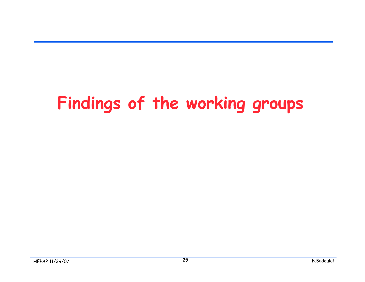## **Findings of the working groups**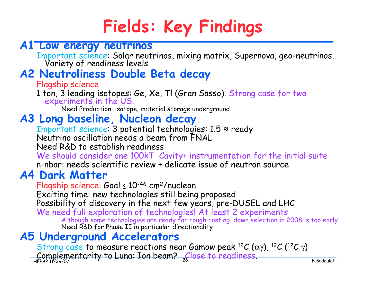## **Fields: Key Findings**

#### **A1 Low energy neutrinos**

Important science: Solar neutrinos, mixing matrix, Supernova, geo-neutrinos. Variety of readiness levels

### **A2 Neutroliness Double Beta decay**

Flagship science

1 ton, 3 leading isotopes: Ge, Xe, Tl (Gran Sasso). Strong case for two experiments in the US.

Need Production isotope, material storage underground

#### **A3 Long baseline, Nucleon decay**

Important science: 3 potential technologies: 1.5 ≈ ready Neutrino oscillation needs a beam from FNAL

Need R&D to establish readiness

We should consider one 100kT Cavity+ instrumentation for the initial suite n-nbar: needs scientific review + delicate issue of neutron source

#### **A4 Dark Matter**

Flagship science: Goal ≤ 10-46 cm2/nucleon

Exciting time: new technologies still being proposed

Possibility of discovery in the next few years, pre-DUSEL and LHC

We need full exploration of technologies! At least 2 experiments Although some technologies are ready for rough costing, down selection in 2008 is too early Need R&D for Phase II in particular directionality

#### **A5 Underground Accelerators**

HEPAP 11/29/07 B.Sadoulet Strong case to measure reactions near Gamow peak  ${}^{12}C$  ( $\alpha\gamma$ ),  ${}^{12}C$  ( ${}^{12}C$   $\gamma$ ) Complementarity to Luna: Ion beam? Close to readiness.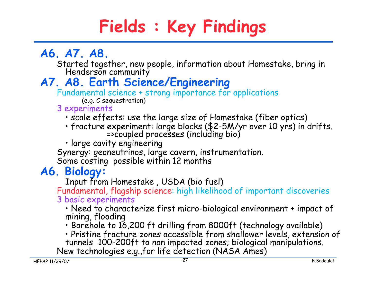# **Fields : Key Findings**

### **A6. A7. A8.**

Started together, new people, information about Homestake, bring in Henderson community

#### **A7. A8. Earth Science/Engineering**

Fundamental science + strong importance for applications

(e.g. C sequestration)

#### 3 experiments

- scale effects: use the large size of Homestake (fiber optics)
- fracture experiment: large blocks (\$2-5M/yr over 10 yrs) in drifts. =>coupled processes (including bio)

• large cavity engineering

Synergy: geoneutrinos, large cavern, instrumentation.

Some costing possible within 12 months

#### **A6. Biology:**

Input from Homestake , USDA (bio fuel)

Fundamental, flagship science: high likelihood of important discoveries 3 basic experiments

• Need to characterize first micro-biological environment + impact of mining, flooding

• Borehole to 16,200 ft drilling from 8000ft (technology available)

• Pristine fracture zones accessible from shallower levels, extension of tunnels 100-200ft to non impacted zones; biological manipulations. New technologies e.g.,for life detection (NASA Ames)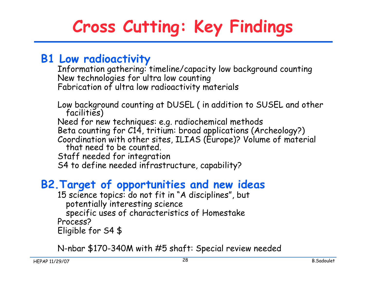# **Cross Cutting: Key Findings**

#### **B1 Low radioactivity**

Information gathering: timeline/capacity low background counting New technologies for ultra low counting Fabrication of ultra low radioactivity materials

Low background counting at DUSEL ( in addition to SUSEL and other facilities) Need for new techniques: e.g. radiochemical methods Beta counting for C14, tritium: broad applications (Archeology?) Coordination with other sites, ILIAS (Europe)? Volume of material that need to be counted. Staff needed for integration S4 to define needed infrastructure, capability?

#### **B2.Target of opportunities and new ideas**

15 science topics: do not fit in "A disciplines", but potentially interesting science specific uses of characteristics of Homestake Process? Eligible for S4 \$

N-nbar \$170-340M with #5 shaft: Special review needed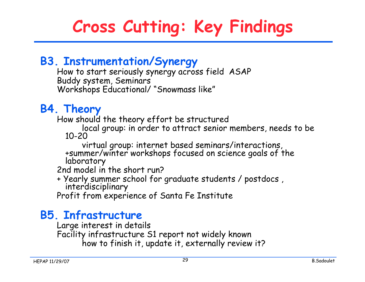# **Cross Cutting: Key Findings**

#### **B3. Instrumentation/Synergy**

How to start seriously synergy across field ASAP Buddy system, Seminars Workshops Educational/ "Snowmass like"

#### **B4. Theory**

How should the theory effort be structured

local group: in order to attract senior members, needs to be 10-20

virtual group: internet based seminars/interactions, +summer/winter workshops focused on science goals of the laboratory

2nd model in the short run?

+ Yearly summer school for graduate students / postdocs , interdisciplinary

Profit from experience of Santa Fe Institute

#### **B5. Infrastructure**

Large interest in details

Facility infrastructure S1 report not widely known

how to finish it, update it, externally review it?